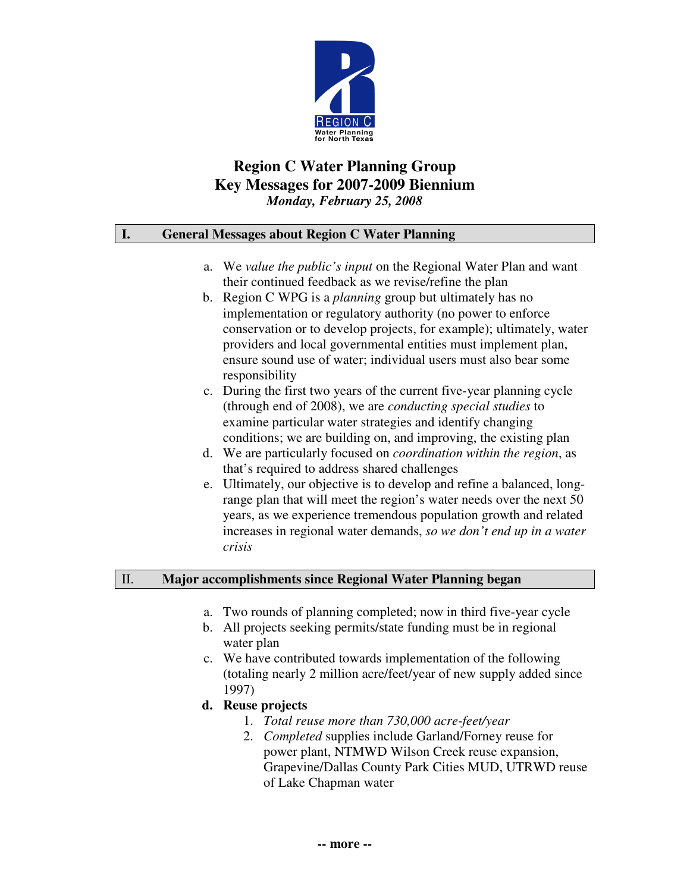

# **Region C Water Planning Group Key Messages for 2007-2009 Biennium** *Monday, February 25, 2008*

## **I. General Messages about Region C Water Planning**

- a. We *value the public's input* on the Regional Water Plan and want their continued feedback as we revise/refine the plan
- b. Region C WPG is a *planning* group but ultimately has no implementation or regulatory authority (no power to enforce conservation or to develop projects, for example); ultimately, water providers and local governmental entities must implement plan, ensure sound use of water; individual users must also bear some responsibility
- c. During the first two years of the current five-year planning cycle (through end of 2008), we are *conducting special studies* to examine particular water strategies and identify changing conditions; we are building on, and improving, the existing plan
- d. We are particularly focused on *coordination within the region*, as that's required to address shared challenges
- e. Ultimately, our objective is to develop and refine a balanced, longrange plan that will meet the region's water needs over the next 50 years, as we experience tremendous population growth and related increases in regional water demands, *so we don't end up in a water crisis*

## II. **Major accomplishments since Regional Water Planning began**

- a. Two rounds of planning completed; now in third five-year cycle
- b. All projects seeking permits/state funding must be in regional water plan
- c. We have contributed towards implementation of the following (totaling nearly 2 million acre/feet/year of new supply added since 1997)
- **d. Reuse projects**
	- 1. *Total reuse more than 730,000 acre-feet/year*
	- 2. *Completed* supplies include Garland/Forney reuse for power plant, NTMWD Wilson Creek reuse expansion, Grapevine/Dallas County Park Cities MUD, UTRWD reuse of Lake Chapman water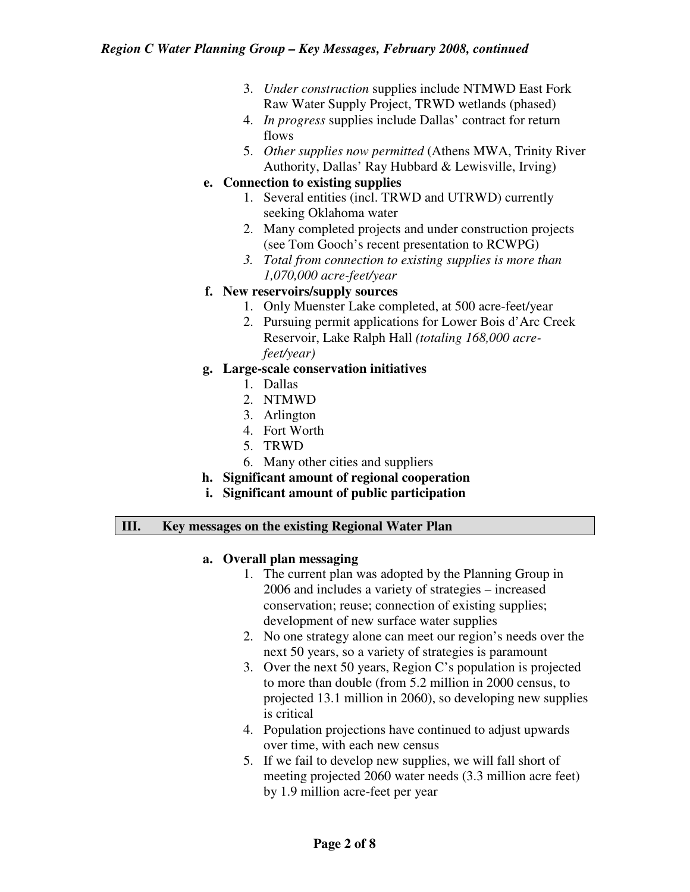- 3. *Under construction* supplies include NTMWD East Fork Raw Water Supply Project, TRWD wetlands (phased)
- 4. *In progress* supplies include Dallas' contract for return flows
- 5. *Other supplies now permitted* (Athens MWA, Trinity River Authority, Dallas' Ray Hubbard & Lewisville, Irving)

## **e. Connection to existing supplies**

- 1. Several entities (incl. TRWD and UTRWD) currently seeking Oklahoma water
- 2. Many completed projects and under construction projects (see Tom Gooch's recent presentation to RCWPG)
- *3. Total from connection to existing supplies is more than 1,070,000 acre-feet/year*

## **f. New reservoirs/supply sources**

- 1. Only Muenster Lake completed, at 500 acre-feet/year
- 2. Pursuing permit applications for Lower Bois d'Arc Creek Reservoir, Lake Ralph Hall *(totaling 168,000 acrefeet/year)*

## **g. Large-scale conservation initiatives**

- 1. Dallas
- 2. NTMWD
- 3. Arlington
- 4. Fort Worth
- 5. TRWD
- 6. Many other cities and suppliers

# **h. Significant amount of regional cooperation**

**i. Significant amount of public participation**

## **III. Key messages on the existing Regional Water Plan**

## **a. Overall plan messaging**

- 1. The current plan was adopted by the Planning Group in 2006 and includes a variety of strategies – increased conservation; reuse; connection of existing supplies; development of new surface water supplies
- 2. No one strategy alone can meet our region's needs over the next 50 years, so a variety of strategies is paramount
- 3. Over the next 50 years, Region C's population is projected to more than double (from 5.2 million in 2000 census, to projected 13.1 million in 2060), so developing new supplies is critical
- 4. Population projections have continued to adjust upwards over time, with each new census
- 5. If we fail to develop new supplies, we will fall short of meeting projected 2060 water needs (3.3 million acre feet) by 1.9 million acre-feet per year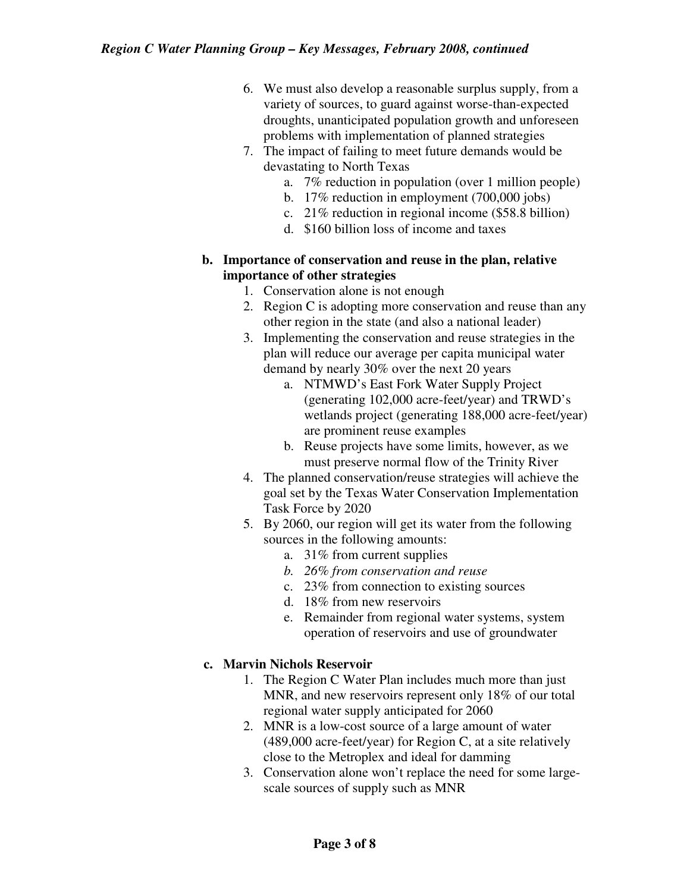- 6. We must also develop a reasonable surplus supply, from a variety of sources, to guard against worse-than-expected droughts, unanticipated population growth and unforeseen problems with implementation of planned strategies
- 7. The impact of failing to meet future demands would be devastating to North Texas
	- a. 7% reduction in population (over 1 million people)
	- b. 17% reduction in employment (700,000 jobs)
	- c. 21% reduction in regional income (\$58.8 billion)
	- d. \$160 billion loss of income and taxes
- **b. Importance of conservation and reuse in the plan, relative importance of other strategies**
	- 1. Conservation alone is not enough
	- 2. Region C is adopting more conservation and reuse than any other region in the state (and also a national leader)
	- 3. Implementing the conservation and reuse strategies in the plan will reduce our average per capita municipal water demand by nearly 30% over the next 20 years
		- a. NTMWD's East Fork Water Supply Project (generating 102,000 acre-feet/year) and TRWD's wetlands project (generating 188,000 acre-feet/year) are prominent reuse examples
		- b. Reuse projects have some limits, however, as we must preserve normal flow of the Trinity River
	- 4. The planned conservation/reuse strategies will achieve the goal set by the Texas Water Conservation Implementation Task Force by 2020
	- 5. By 2060, our region will get its water from the following sources in the following amounts:
		- a. 31% from current supplies
		- *b. 26% from conservation and reuse*
		- c. 23% from connection to existing sources
		- d. 18% from new reservoirs
		- e. Remainder from regional water systems, system operation of reservoirs and use of groundwater

# **c. Marvin Nichols Reservoir**

- 1. The Region C Water Plan includes much more than just MNR, and new reservoirs represent only 18% of our total regional water supply anticipated for 2060
- 2. MNR is a low-cost source of a large amount of water (489,000 acre-feet/year) for Region C, at a site relatively close to the Metroplex and ideal for damming
- 3. Conservation alone won't replace the need for some largescale sources of supply such as MNR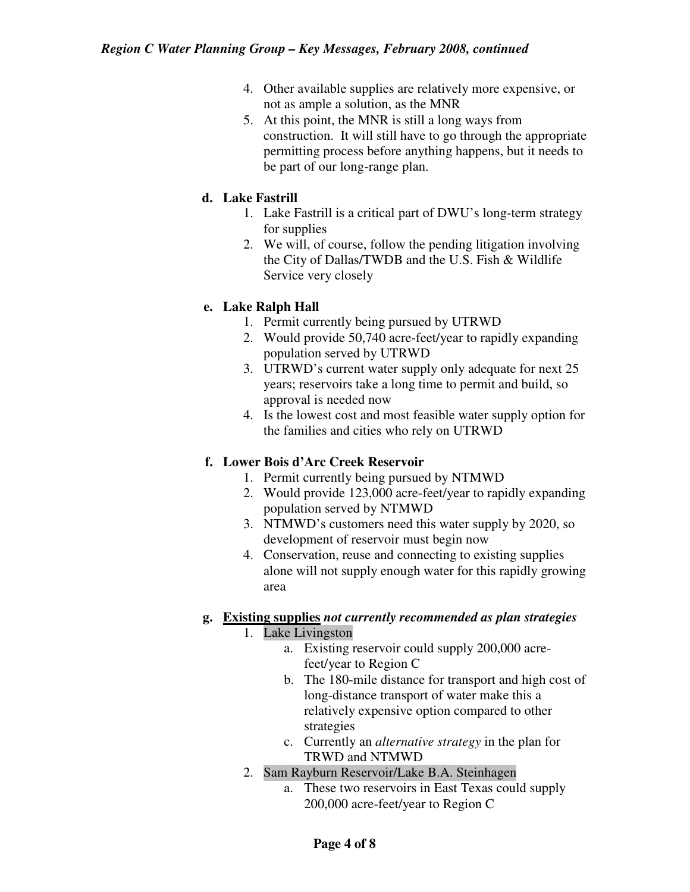- 4. Other available supplies are relatively more expensive, or not as ample a solution, as the MNR
- 5. At this point, the MNR is still a long ways from construction. It will still have to go through the appropriate permitting process before anything happens, but it needs to be part of our long-range plan.

## **d. Lake Fastrill**

- 1. Lake Fastrill is a critical part of DWU's long-term strategy for supplies
- 2. We will, of course, follow the pending litigation involving the City of Dallas/TWDB and the U.S. Fish & Wildlife Service very closely

## **e. Lake Ralph Hall**

- 1. Permit currently being pursued by UTRWD
- 2. Would provide 50,740 acre-feet/year to rapidly expanding population served by UTRWD
- 3. UTRWD's current water supply only adequate for next 25 years; reservoirs take a long time to permit and build, so approval is needed now
- 4. Is the lowest cost and most feasible water supply option for the families and cities who rely on UTRWD

## **f. Lower Bois d'Arc Creek Reservoir**

- 1. Permit currently being pursued by NTMWD
- 2. Would provide 123,000 acre-feet/year to rapidly expanding population served by NTMWD
- 3. NTMWD's customers need this water supply by 2020, so development of reservoir must begin now
- 4. Conservation, reuse and connecting to existing supplies alone will not supply enough water for this rapidly growing area

# **g. Existing supplies** *not currently recommended as plan strategies*

# 1. Lake Livingston

- a. Existing reservoir could supply 200,000 acrefeet/year to Region C
- b. The 180-mile distance for transport and high cost of long-distance transport of water make this a relatively expensive option compared to other strategies
- c. Currently an *alternative strategy* in the plan for TRWD and NTMWD
- 2. Sam Rayburn Reservoir/Lake B.A. Steinhagen
	- a. These two reservoirs in East Texas could supply 200,000 acre-feet/year to Region C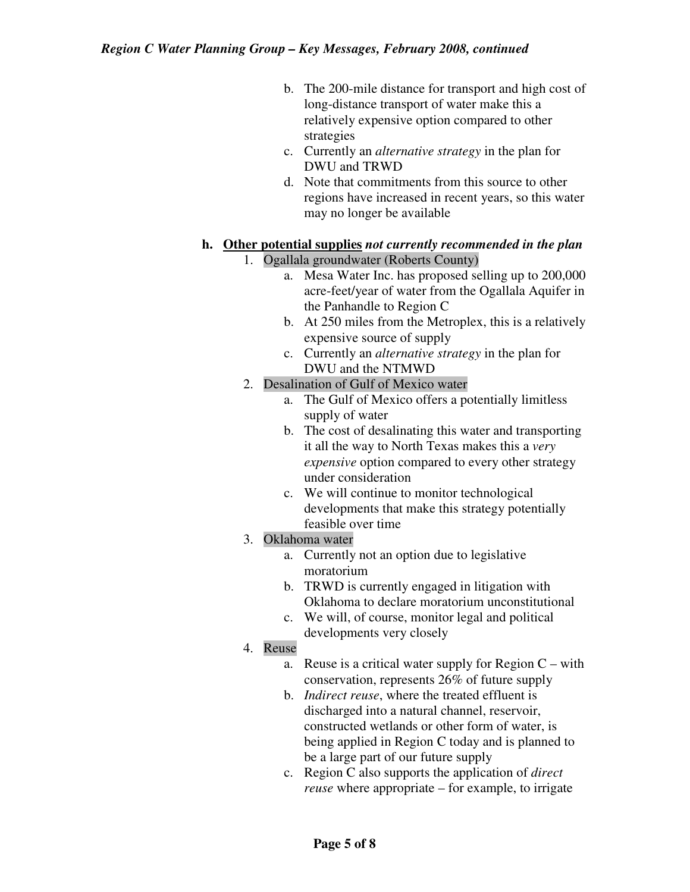- b. The 200-mile distance for transport and high cost of long-distance transport of water make this a relatively expensive option compared to other strategies
- c. Currently an *alternative strategy* in the plan for DWU and TRWD
- d. Note that commitments from this source to other regions have increased in recent years, so this water may no longer be available

#### **h. Other potential supplies** *not currently recommended in the plan* 1. Ogallala groundwater (Roberts County)

- a. Mesa Water Inc. has proposed selling up to 200,000 acre-feet/year of water from the Ogallala Aquifer in the Panhandle to Region C
- b. At 250 miles from the Metroplex, this is a relatively expensive source of supply
- c. Currently an *alternative strategy* in the plan for DWU and the NTMWD
- 2. Desalination of Gulf of Mexico water
	- a. The Gulf of Mexico offers a potentially limitless supply of water
	- b. The cost of desalinating this water and transporting it all the way to North Texas makes this a *very expensive* option compared to every other strategy under consideration
	- c. We will continue to monitor technological developments that make this strategy potentially feasible over time

## 3. Oklahoma water

- a. Currently not an option due to legislative moratorium
- b. TRWD is currently engaged in litigation with Oklahoma to declare moratorium unconstitutional
- c. We will, of course, monitor legal and political developments very closely

# 4. Reuse

- a. Reuse is a critical water supply for Region  $C$  with conservation, represents 26% of future supply
- b. *Indirect reuse*, where the treated effluent is discharged into a natural channel, reservoir, constructed wetlands or other form of water, is being applied in Region C today and is planned to be a large part of our future supply
- c. Region C also supports the application of *direct reuse* where appropriate – for example, to irrigate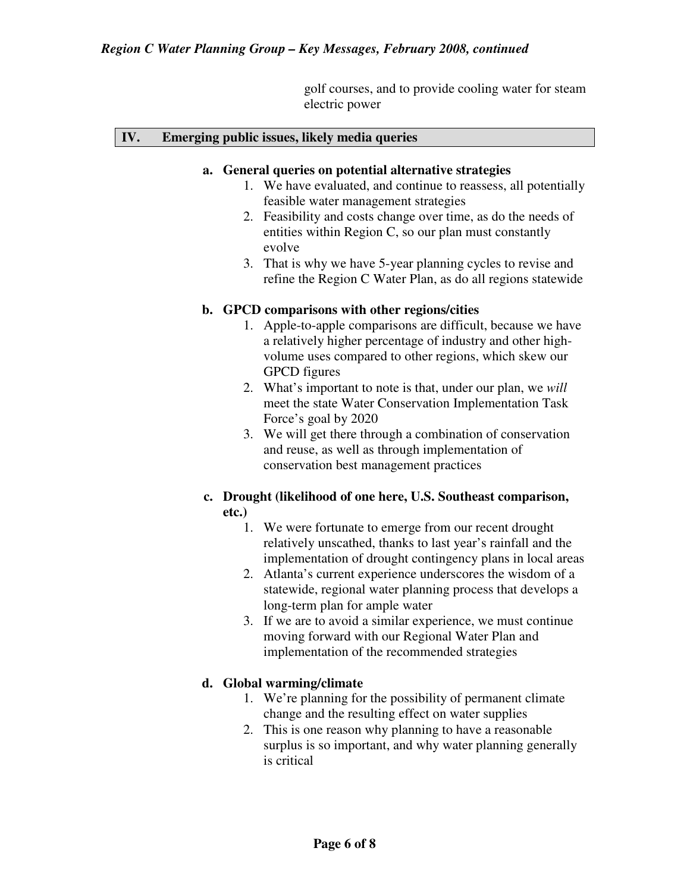golf courses, and to provide cooling water for steam electric power

#### **IV. Emerging public issues, likely media queries**

#### **a. General queries on potential alternative strategies**

- 1. We have evaluated, and continue to reassess, all potentially feasible water management strategies
- 2. Feasibility and costs change over time, as do the needs of entities within Region C, so our plan must constantly evolve
- 3. That is why we have 5-year planning cycles to revise and refine the Region C Water Plan, as do all regions statewide

#### **b. GPCD comparisons with other regions/cities**

- 1. Apple-to-apple comparisons are difficult, because we have a relatively higher percentage of industry and other highvolume uses compared to other regions, which skew our GPCD figures
- 2. What's important to note is that, under our plan, we *will* meet the state Water Conservation Implementation Task Force's goal by 2020
- 3. We will get there through a combination of conservation and reuse, as well as through implementation of conservation best management practices

## **c. Drought (likelihood of one here, U.S. Southeast comparison, etc.)**

- 1. We were fortunate to emerge from our recent drought relatively unscathed, thanks to last year's rainfall and the implementation of drought contingency plans in local areas
- 2. Atlanta's current experience underscores the wisdom of a statewide, regional water planning process that develops a long-term plan for ample water
- 3. If we are to avoid a similar experience, we must continue moving forward with our Regional Water Plan and implementation of the recommended strategies

#### **d. Global warming/climate**

- 1. We're planning for the possibility of permanent climate change and the resulting effect on water supplies
- 2. This is one reason why planning to have a reasonable surplus is so important, and why water planning generally is critical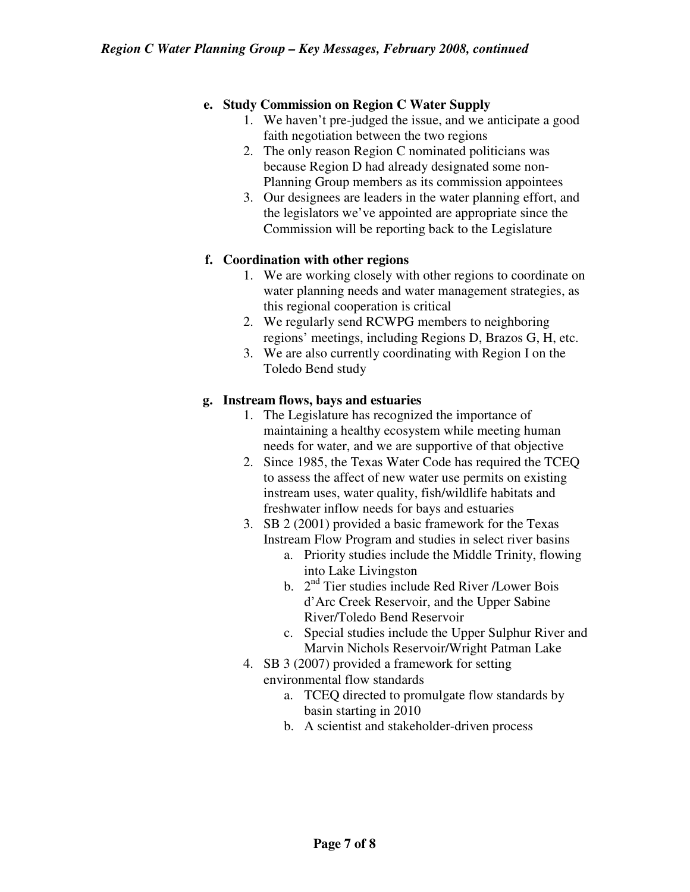## **e. Study Commission on Region C Water Supply**

- 1. We haven't pre-judged the issue, and we anticipate a good faith negotiation between the two regions
- 2. The only reason Region C nominated politicians was because Region D had already designated some non-Planning Group members as its commission appointees
- 3. Our designees are leaders in the water planning effort, and the legislators we've appointed are appropriate since the Commission will be reporting back to the Legislature

## **f. Coordination with other regions**

- 1. We are working closely with other regions to coordinate on water planning needs and water management strategies, as this regional cooperation is critical
- 2. We regularly send RCWPG members to neighboring regions' meetings, including Regions D, Brazos G, H, etc.
- 3. We are also currently coordinating with Region I on the Toledo Bend study

## **g. Instream flows, bays and estuaries**

- 1. The Legislature has recognized the importance of maintaining a healthy ecosystem while meeting human needs for water, and we are supportive of that objective
- 2. Since 1985, the Texas Water Code has required the TCEQ to assess the affect of new water use permits on existing instream uses, water quality, fish/wildlife habitats and freshwater inflow needs for bays and estuaries
- 3. SB 2 (2001) provided a basic framework for the Texas Instream Flow Program and studies in select river basins
	- a. Priority studies include the Middle Trinity, flowing into Lake Livingston
	- b. 2<sup>nd</sup> Tier studies include Red River /Lower Bois d'Arc Creek Reservoir, and the Upper Sabine River/Toledo Bend Reservoir
	- c. Special studies include the Upper Sulphur River and Marvin Nichols Reservoir/Wright Patman Lake
- 4. SB 3 (2007) provided a framework for setting environmental flow standards
	- a. TCEQ directed to promulgate flow standards by basin starting in 2010
	- b. A scientist and stakeholder-driven process